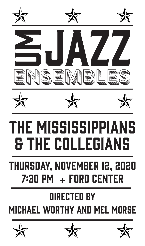













# The Mississippians & the Collegians

# Thursday, November 12, 2020  $7:30$  PM  $+$  FORD CENTER THURSDAY, NOVEMBER 12, 2020<br>7:30 PM + FORD CENTER<br>DIRECTED BY<br>MICHAEL WORTHY AND MEL MORSE

# Directed by **MICHAEL WORTHY AND MEL MORSE**





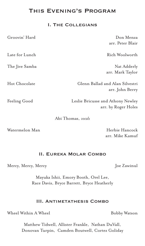## This Evening's Program

#### I. The Collegians

| Groovin' Hard  | Don Menza                                                |
|----------------|----------------------------------------------------------|
|                | arr. Peter Blair                                         |
| Late for Lunch | Rich Woolworth                                           |
| The Jive Samba | Nat Adderly                                              |
|                | arr. Mark Taylor                                         |
| Hot Chocolate  | Glenn Ballad and Alan Silvestri<br>arr. John Berry       |
| Feeling Good   | Leslie Bricusse and Athony Newley<br>arr. by Roger Holes |
|                | Abi Thomas, vocals                                       |

Watermelon Man New York Herbie Hancock arr. Mike Kamuf

#### II. Eureka Molar Combo

Mercy, Mercy, Mercy Joe Zawinul

Mayuka Ishii, Emory Booth, Orel Lee, Race Davis, Bryce Barrett, Bryce Heatherly

#### III. Antimetathesis Combo

Wheel Within A Wheel **Example 2** Bobby Watson

Matthew Tidwell, Allister Frankle, Nathan DuVall, Donovan Turpin, Camden Boutwell, Cortez Goliday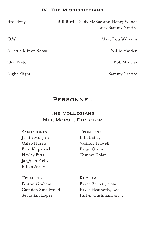#### IV. The Mississippians

A Little Minor Booze Willie Maiden

Broadway Bill Bird, Teddy McRae and Henry Woode arr. Sammy Nestico

O.W. Nary Lou Williams

Oro Preto Bob Mintzer

Night Flight Sammy Nestico

#### **PERSONNEL**

### The Collegians Mel Morse, Director

Justin Morgan Lilli Bailey Erin Kilpatrick Brian Crum Hayley Pitts Tommy Dolan Ja'Quan Kelly Ethan Avery

SAXOPHONES TROMBONES Caleb Harris Vasilios Tidwell

TRUMPETS RHYTHM Peyton Graham Bryce Barrett, *piano* Camden Smallwood Bryce Heatherly, *bass*

Sebastian Lopez Parker Cushman, *drums*